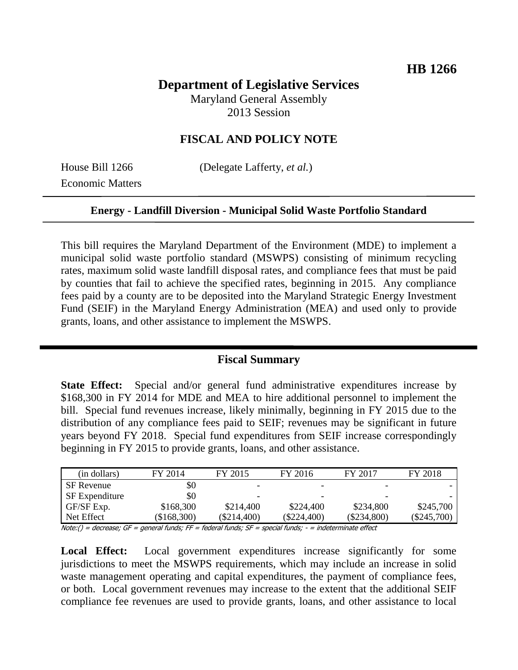# **Department of Legislative Services**

Maryland General Assembly 2013 Session

# **FISCAL AND POLICY NOTE**

Economic Matters

House Bill 1266 (Delegate Lafferty, *et al.*)

#### **Energy - Landfill Diversion - Municipal Solid Waste Portfolio Standard**

This bill requires the Maryland Department of the Environment (MDE) to implement a municipal solid waste portfolio standard (MSWPS) consisting of minimum recycling rates, maximum solid waste landfill disposal rates, and compliance fees that must be paid by counties that fail to achieve the specified rates, beginning in 2015. Any compliance fees paid by a county are to be deposited into the Maryland Strategic Energy Investment Fund (SEIF) in the Maryland Energy Administration (MEA) and used only to provide grants, loans, and other assistance to implement the MSWPS.

# **Fiscal Summary**

**State Effect:** Special and/or general fund administrative expenditures increase by \$168,300 in FY 2014 for MDE and MEA to hire additional personnel to implement the bill. Special fund revenues increase, likely minimally, beginning in FY 2015 due to the distribution of any compliance fees paid to SEIF; revenues may be significant in future years beyond FY 2018. Special fund expenditures from SEIF increase correspondingly beginning in FY 2015 to provide grants, loans, and other assistance.

| (in dollars)          | FY 2014       | FY 2015       | FY 2016                  | FY 2017                  | FY 2018       |
|-----------------------|---------------|---------------|--------------------------|--------------------------|---------------|
| SF Revenue            | \$0           |               |                          |                          |               |
| <b>SF</b> Expenditure | \$0           | -             | $\overline{\phantom{0}}$ | $\overline{\phantom{0}}$ |               |
| GF/SF Exp.            | \$168,300     | \$214,400     | \$224,400                | \$234,800                | \$245,700     |
| Net Effect            | $(\$168,300)$ | $(\$214,400)$ | $(\$224,400)$            | $(\$234,800)$            | $(\$245,700)$ |

Note:() = decrease; GF = general funds; FF = federal funds; SF = special funds; - = indeterminate effect

**Local Effect:** Local government expenditures increase significantly for some jurisdictions to meet the MSWPS requirements, which may include an increase in solid waste management operating and capital expenditures, the payment of compliance fees, or both. Local government revenues may increase to the extent that the additional SEIF compliance fee revenues are used to provide grants, loans, and other assistance to local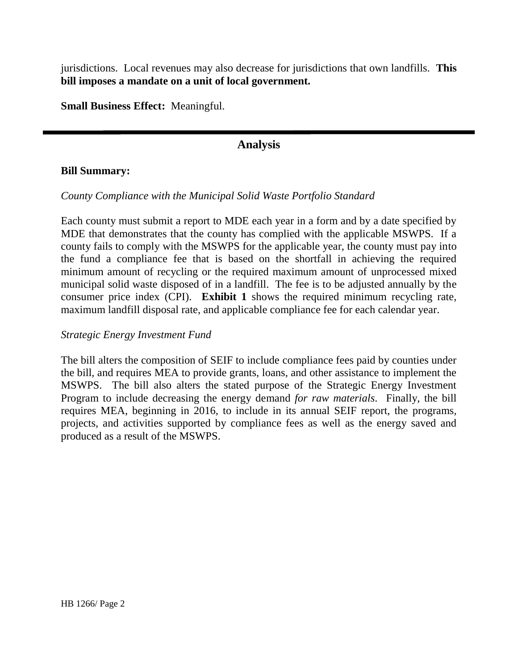jurisdictions. Local revenues may also decrease for jurisdictions that own landfills. **This bill imposes a mandate on a unit of local government.**

**Small Business Effect:** Meaningful.

# **Analysis**

### **Bill Summary:**

### *County Compliance with the Municipal Solid Waste Portfolio Standard*

Each county must submit a report to MDE each year in a form and by a date specified by MDE that demonstrates that the county has complied with the applicable MSWPS. If a county fails to comply with the MSWPS for the applicable year, the county must pay into the fund a compliance fee that is based on the shortfall in achieving the required minimum amount of recycling or the required maximum amount of unprocessed mixed municipal solid waste disposed of in a landfill. The fee is to be adjusted annually by the consumer price index (CPI). **Exhibit 1** shows the required minimum recycling rate, maximum landfill disposal rate, and applicable compliance fee for each calendar year.

### *Strategic Energy Investment Fund*

The bill alters the composition of SEIF to include compliance fees paid by counties under the bill, and requires MEA to provide grants, loans, and other assistance to implement the MSWPS. The bill also alters the stated purpose of the Strategic Energy Investment Program to include decreasing the energy demand *for raw materials*. Finally, the bill requires MEA, beginning in 2016, to include in its annual SEIF report, the programs, projects, and activities supported by compliance fees as well as the energy saved and produced as a result of the MSWPS.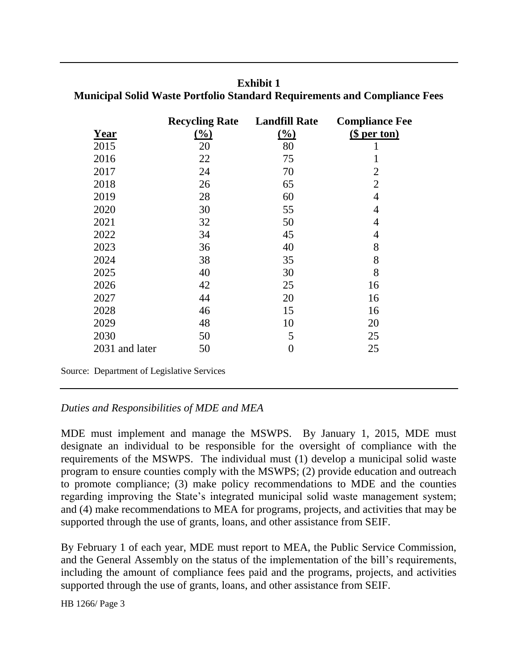| Year           | <b>Recycling Rate</b><br>(%) | <b>Landfill Rate</b><br>$\frac{(\%)}{(\%)}$ | <b>Compliance Fee</b><br>(\$ per ton) |
|----------------|------------------------------|---------------------------------------------|---------------------------------------|
| 2015           | 20                           | 80                                          | 1                                     |
| 2016           | 22                           | 75                                          | 1                                     |
| 2017           | 24                           | 70                                          | 2                                     |
| 2018           | 26                           | 65                                          | $\overline{2}$                        |
| 2019           | 28                           | 60                                          | $\overline{4}$                        |
| 2020           | 30                           | 55                                          | 4                                     |
| 2021           | 32                           | 50                                          | 4                                     |
| 2022           | 34                           | 45                                          | 4                                     |
| 2023           | 36                           | 40                                          | 8                                     |
| 2024           | 38                           | 35                                          | 8                                     |
| 2025           | 40                           | 30                                          | 8                                     |
| 2026           | 42                           | 25                                          | 16                                    |
| 2027           | 44                           | 20                                          | 16                                    |
| 2028           | 46                           | 15                                          | 16                                    |
| 2029           | 48                           | 10                                          | 20                                    |
| 2030           | 50                           | 5                                           | 25                                    |
| 2031 and later | 50                           | $\overline{0}$                              | 25                                    |

**Exhibit 1**

**Municipal Solid Waste Portfolio Standard Requirements and Compliance Fees**

Source: Department of Legislative Services

# *Duties and Responsibilities of MDE and MEA*

MDE must implement and manage the MSWPS. By January 1, 2015, MDE must designate an individual to be responsible for the oversight of compliance with the requirements of the MSWPS. The individual must (1) develop a municipal solid waste program to ensure counties comply with the MSWPS; (2) provide education and outreach to promote compliance; (3) make policy recommendations to MDE and the counties regarding improving the State's integrated municipal solid waste management system; and (4) make recommendations to MEA for programs, projects, and activities that may be supported through the use of grants, loans, and other assistance from SEIF.

By February 1 of each year, MDE must report to MEA, the Public Service Commission, and the General Assembly on the status of the implementation of the bill's requirements, including the amount of compliance fees paid and the programs, projects, and activities supported through the use of grants, loans, and other assistance from SEIF.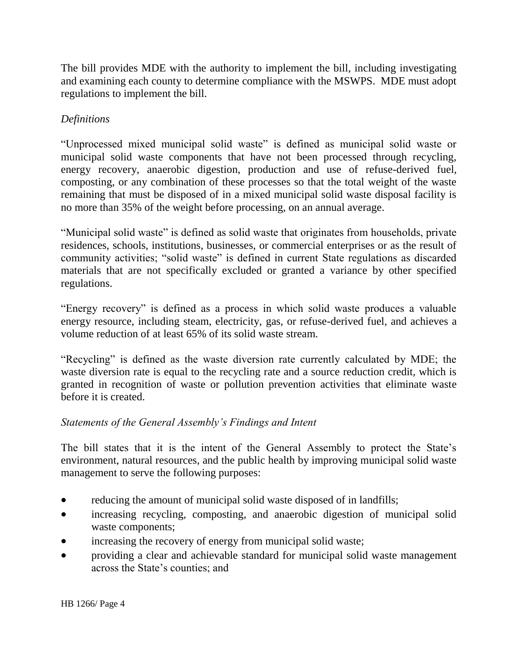The bill provides MDE with the authority to implement the bill, including investigating and examining each county to determine compliance with the MSWPS. MDE must adopt regulations to implement the bill.

# *Definitions*

"Unprocessed mixed municipal solid waste" is defined as municipal solid waste or municipal solid waste components that have not been processed through recycling, energy recovery, anaerobic digestion, production and use of refuse-derived fuel, composting, or any combination of these processes so that the total weight of the waste remaining that must be disposed of in a mixed municipal solid waste disposal facility is no more than 35% of the weight before processing, on an annual average.

"Municipal solid waste" is defined as solid waste that originates from households, private residences, schools, institutions, businesses, or commercial enterprises or as the result of community activities; "solid waste" is defined in current State regulations as discarded materials that are not specifically excluded or granted a variance by other specified regulations.

"Energy recovery" is defined as a process in which solid waste produces a valuable energy resource, including steam, electricity, gas, or refuse-derived fuel, and achieves a volume reduction of at least 65% of its solid waste stream.

"Recycling" is defined as the waste diversion rate currently calculated by MDE; the waste diversion rate is equal to the recycling rate and a source reduction credit, which is granted in recognition of waste or pollution prevention activities that eliminate waste before it is created.

# *Statements of the General Assembly's Findings and Intent*

The bill states that it is the intent of the General Assembly to protect the State's environment, natural resources, and the public health by improving municipal solid waste management to serve the following purposes:

- reducing the amount of municipal solid waste disposed of in landfills;
- increasing recycling, composting, and anaerobic digestion of municipal solid waste components;
- increasing the recovery of energy from municipal solid waste;
- providing a clear and achievable standard for municipal solid waste management across the State's counties; and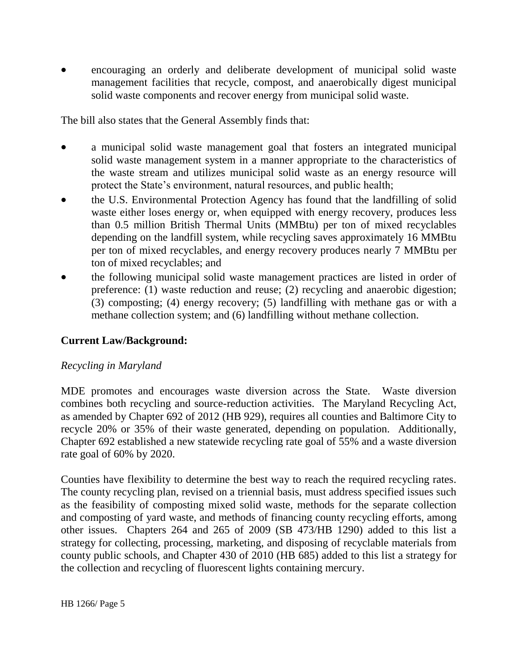encouraging an orderly and deliberate development of municipal solid waste management facilities that recycle, compost, and anaerobically digest municipal solid waste components and recover energy from municipal solid waste.

The bill also states that the General Assembly finds that:

- a municipal solid waste management goal that fosters an integrated municipal solid waste management system in a manner appropriate to the characteristics of the waste stream and utilizes municipal solid waste as an energy resource will protect the State's environment, natural resources, and public health;
- the U.S. Environmental Protection Agency has found that the landfilling of solid waste either loses energy or, when equipped with energy recovery, produces less than 0.5 million British Thermal Units (MMBtu) per ton of mixed recyclables depending on the landfill system, while recycling saves approximately 16 MMBtu per ton of mixed recyclables, and energy recovery produces nearly 7 MMBtu per ton of mixed recyclables; and
- the following municipal solid waste management practices are listed in order of preference: (1) waste reduction and reuse; (2) recycling and anaerobic digestion; (3) composting; (4) energy recovery; (5) landfilling with methane gas or with a methane collection system; and (6) landfilling without methane collection.

# **Current Law/Background:**

# *Recycling in Maryland*

MDE promotes and encourages waste diversion across the State. Waste diversion combines both recycling and source-reduction activities. The Maryland Recycling Act, as amended by Chapter 692 of 2012 (HB 929), requires all counties and Baltimore City to recycle 20% or 35% of their waste generated, depending on population. Additionally, Chapter 692 established a new statewide recycling rate goal of 55% and a waste diversion rate goal of 60% by 2020.

Counties have flexibility to determine the best way to reach the required recycling rates. The county recycling plan, revised on a triennial basis, must address specified issues such as the feasibility of composting mixed solid waste, methods for the separate collection and composting of yard waste, and methods of financing county recycling efforts, among other issues. Chapters 264 and 265 of 2009 (SB 473/HB 1290) added to this list a strategy for collecting, processing, marketing, and disposing of recyclable materials from county public schools, and Chapter 430 of 2010 (HB 685) added to this list a strategy for the collection and recycling of fluorescent lights containing mercury.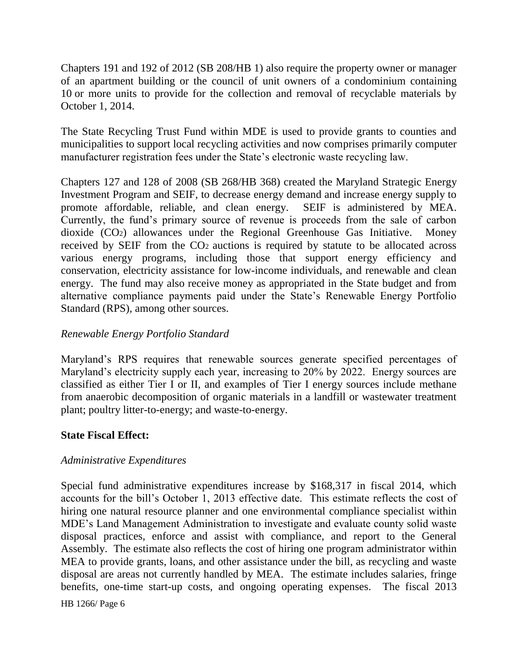Chapters 191 and 192 of 2012 (SB 208/HB 1) also require the property owner or manager of an apartment building or the council of unit owners of a condominium containing 10 or more units to provide for the collection and removal of recyclable materials by October 1, 2014.

The State Recycling Trust Fund within MDE is used to provide grants to counties and municipalities to support local recycling activities and now comprises primarily computer manufacturer registration fees under the State's electronic waste recycling law.

Chapters 127 and 128 of 2008 (SB 268/HB 368) created the Maryland Strategic Energy Investment Program and SEIF, to decrease energy demand and increase energy supply to promote affordable, reliable, and clean energy. SEIF is administered by MEA. Currently, the fund's primary source of revenue is proceeds from the sale of carbon dioxide (CO2) allowances under the Regional Greenhouse Gas Initiative. Money received by SEIF from the CO2 auctions is required by statute to be allocated across various energy programs, including those that support energy efficiency and conservation, electricity assistance for low-income individuals, and renewable and clean energy. The fund may also receive money as appropriated in the State budget and from alternative compliance payments paid under the State's Renewable Energy Portfolio Standard (RPS), among other sources.

### *Renewable Energy Portfolio Standard*

Maryland's RPS requires that renewable sources generate specified percentages of Maryland's electricity supply each year, increasing to 20% by 2022. Energy sources are classified as either Tier I or II, and examples of Tier I energy sources include methane from anaerobic decomposition of organic materials in a landfill or wastewater treatment plant; poultry litter-to-energy; and waste-to-energy.

#### **State Fiscal Effect:**

#### *Administrative Expenditures*

Special fund administrative expenditures increase by \$168,317 in fiscal 2014, which accounts for the bill's October 1, 2013 effective date. This estimate reflects the cost of hiring one natural resource planner and one environmental compliance specialist within MDE's Land Management Administration to investigate and evaluate county solid waste disposal practices, enforce and assist with compliance, and report to the General Assembly. The estimate also reflects the cost of hiring one program administrator within MEA to provide grants, loans, and other assistance under the bill, as recycling and waste disposal are areas not currently handled by MEA. The estimate includes salaries, fringe benefits, one-time start-up costs, and ongoing operating expenses. The fiscal 2013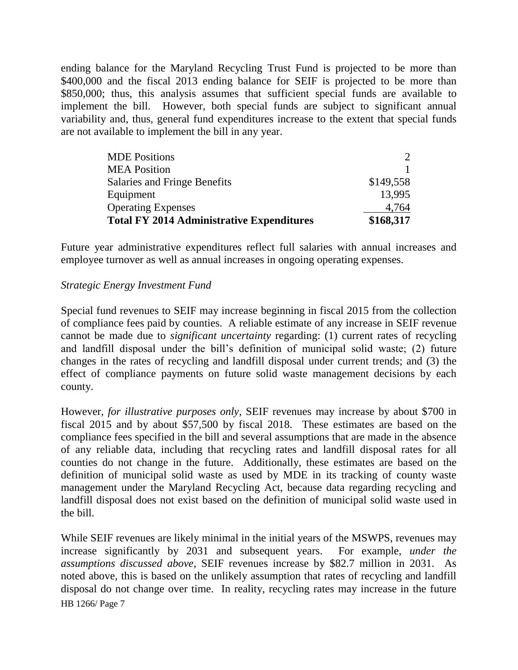ending balance for the Maryland Recycling Trust Fund is projected to be more than \$400,000 and the fiscal 2013 ending balance for SEIF is projected to be more than \$850,000; thus, this analysis assumes that sufficient special funds are available to implement the bill. However, both special funds are subject to significant annual variability and, thus, general fund expenditures increase to the extent that special funds are not available to implement the bill in any year.

| \$149,558<br>13.995<br>4,764 |
|------------------------------|
|                              |
|                              |
|                              |
|                              |
| $\mathcal{D}$                |
|                              |

Future year administrative expenditures reflect full salaries with annual increases and employee turnover as well as annual increases in ongoing operating expenses.

### *Strategic Energy Investment Fund*

Special fund revenues to SEIF may increase beginning in fiscal 2015 from the collection of compliance fees paid by counties. A reliable estimate of any increase in SEIF revenue cannot be made due to *significant uncertainty* regarding: (1) current rates of recycling and landfill disposal under the bill's definition of municipal solid waste; (2) future changes in the rates of recycling and landfill disposal under current trends; and (3) the effect of compliance payments on future solid waste management decisions by each county.

However, *for illustrative purposes only*, SEIF revenues may increase by about \$700 in fiscal 2015 and by about \$57,500 by fiscal 2018. These estimates are based on the compliance fees specified in the bill and several assumptions that are made in the absence of any reliable data, including that recycling rates and landfill disposal rates for all counties do not change in the future. Additionally, these estimates are based on the definition of municipal solid waste as used by MDE in its tracking of county waste management under the Maryland Recycling Act, because data regarding recycling and landfill disposal does not exist based on the definition of municipal solid waste used in the bill.

HB 1266/ Page 7 While SEIF revenues are likely minimal in the initial years of the MSWPS, revenues may increase significantly by 2031 and subsequent years. For example, *under the assumptions discussed above*, SEIF revenues increase by \$82.7 million in 2031. As noted above, this is based on the unlikely assumption that rates of recycling and landfill disposal do not change over time. In reality, recycling rates may increase in the future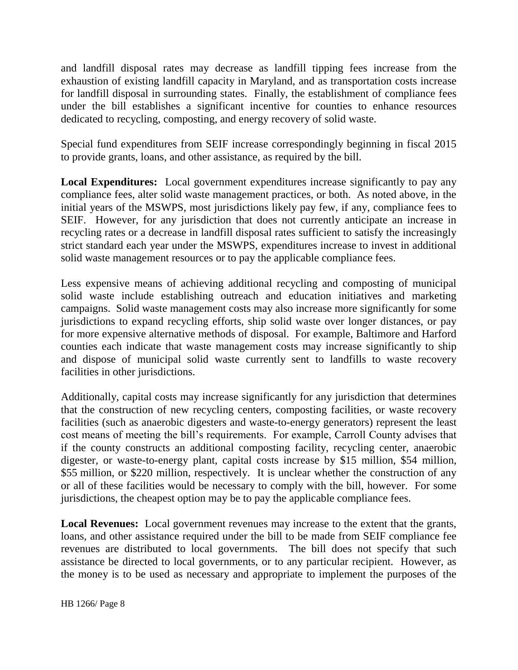and landfill disposal rates may decrease as landfill tipping fees increase from the exhaustion of existing landfill capacity in Maryland, and as transportation costs increase for landfill disposal in surrounding states. Finally, the establishment of compliance fees under the bill establishes a significant incentive for counties to enhance resources dedicated to recycling, composting, and energy recovery of solid waste.

Special fund expenditures from SEIF increase correspondingly beginning in fiscal 2015 to provide grants, loans, and other assistance, as required by the bill.

**Local Expenditures:** Local government expenditures increase significantly to pay any compliance fees, alter solid waste management practices, or both. As noted above, in the initial years of the MSWPS, most jurisdictions likely pay few, if any, compliance fees to SEIF. However, for any jurisdiction that does not currently anticipate an increase in recycling rates or a decrease in landfill disposal rates sufficient to satisfy the increasingly strict standard each year under the MSWPS, expenditures increase to invest in additional solid waste management resources or to pay the applicable compliance fees.

Less expensive means of achieving additional recycling and composting of municipal solid waste include establishing outreach and education initiatives and marketing campaigns. Solid waste management costs may also increase more significantly for some jurisdictions to expand recycling efforts, ship solid waste over longer distances, or pay for more expensive alternative methods of disposal. For example, Baltimore and Harford counties each indicate that waste management costs may increase significantly to ship and dispose of municipal solid waste currently sent to landfills to waste recovery facilities in other jurisdictions.

Additionally, capital costs may increase significantly for any jurisdiction that determines that the construction of new recycling centers, composting facilities, or waste recovery facilities (such as anaerobic digesters and waste-to-energy generators) represent the least cost means of meeting the bill's requirements. For example, Carroll County advises that if the county constructs an additional composting facility, recycling center, anaerobic digester, or waste-to-energy plant, capital costs increase by \$15 million, \$54 million, \$55 million, or \$220 million, respectively. It is unclear whether the construction of any or all of these facilities would be necessary to comply with the bill, however. For some jurisdictions, the cheapest option may be to pay the applicable compliance fees.

**Local Revenues:** Local government revenues may increase to the extent that the grants, loans, and other assistance required under the bill to be made from SEIF compliance fee revenues are distributed to local governments. The bill does not specify that such assistance be directed to local governments, or to any particular recipient. However, as the money is to be used as necessary and appropriate to implement the purposes of the